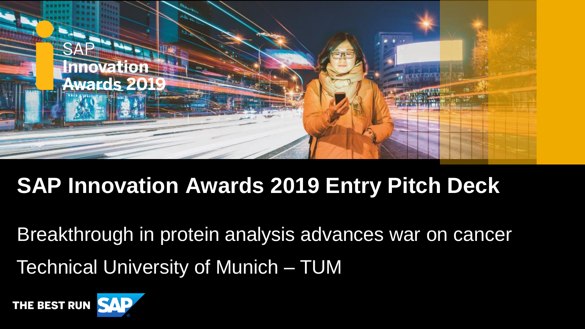

# **SAP Innovation Awards 2019 Entry Pitch Deck**

Technical University of Munich – TUM Breakthrough in protein analysis advances war on cancer

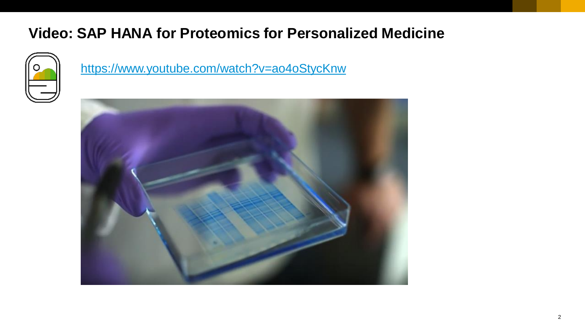## **Video: SAP HANA for Proteomics for Personalized Medicine**



<https://www.youtube.com/watch?v=ao4oStycKnw>

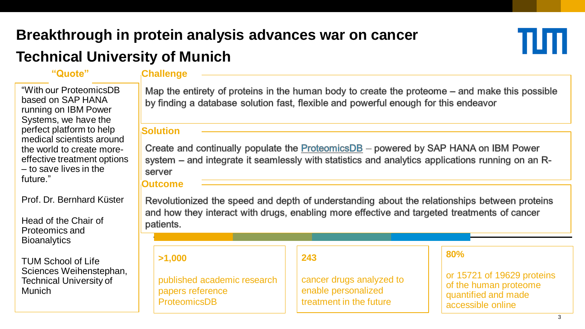# **Breakthrough in protein analysis advances war on cancer**

## **Technical University of Munich**

#### **"Quote" Challenge**

"With our ProteomicsDB based on SAP HANA running on IBM Power Systems, we have the perfect platform to help medical scientists around the world to create moreeffective treatment options – to save lives in the future."

Prof. Dr. Bernhard Küster

Head of the Chair of Proteomics and **Bioanalytics** 

TUM School of Life Sciences Weihenstephan, Technical University of Munich

Map the entirety of proteins in the human body to create the proteome – and make this possible by finding a database solution fast, flexible and powerful enough for this endeavor

#### **Solution**

Create and continually populate the **ProteomicsDB** - powered by SAP HANA on IBM Power system – and integrate it seamlessly with statistics and analytics applications running on an Rserver

#### **Outcome**

Revolutionized the speed and depth of understanding about the relationships between proteins and how they interact with drugs, enabling more effective and targeted treatments of cancer patients.

**>1,000**

published academic research papers reference ProteomicsDB

#### **243**

cancer drugs analyzed to enable personalized treatment in the future

#### **80%**

or 15721 of 19629 proteins of the human proteome quantified and made accessible online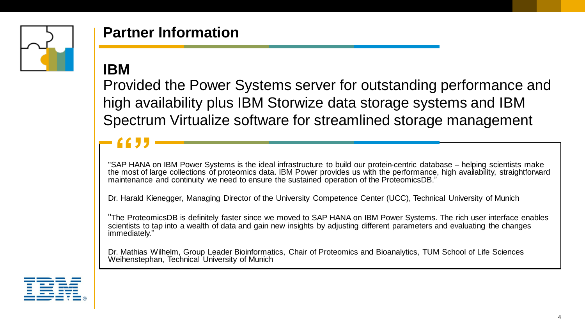

## **Partner Information**

### **IBM**

Provided the Power Systems server for outstanding performance and high availability plus IBM Storwize data storage systems and IBM Spectrum Virtualize software for streamlined storage management

"SAP HANA on IBM Power Systems is the ideal infrastructure to build our protein-centric database – helping scientists make the most of large collections of proteomics data. IBM Power provides us with the performance, high availability, straightforward maintenance and continuity we need to ensure the sustained operation of the ProteomicsDB."

Dr. Harald Kienegger, Managing Director of the University Competence Center (UCC), Technical University of Munich

"The ProteomicsDB is definitely faster since we moved to SAP HANA on IBM Power Systems. The rich user interface enables scientists to tap into a wealth of data and gain new insights by adjusting different parameters and evaluating the changes immediately."

Dr. Mathias Wilhelm, Group Leader Bioinformatics, Chair of Proteomics and Bioanalytics, TUM School of Life Sciences Weihenstephan, Technical University of Munich

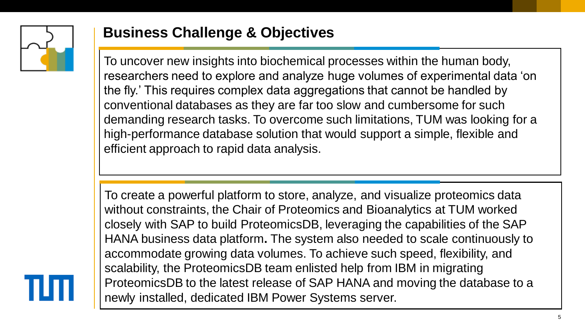

## **Business Challenge & Objectives**

To uncover new insights into biochemical processes within the human body, researchers need to explore and analyze huge volumes of experimental data 'on the fly.' This requires complex data aggregations that cannot be handled by conventional databases as they are far too slow and cumbersome for such demanding research tasks. To overcome such limitations, TUM was looking for a high-performance database solution that would support a simple, flexible and efficient approach to rapid data analysis.

To create a powerful platform to store, analyze, and visualize proteomics data without constraints, the Chair of Proteomics and Bioanalytics at TUM worked closely with SAP to build ProteomicsDB, leveraging the capabilities of the SAP HANA business data platform**.** The system also needed to scale continuously to accommodate growing data volumes. To achieve such speed, flexibility, and scalability, the ProteomicsDB team enlisted help from IBM in migrating ProteomicsDB to the latest release of SAP HANA and moving the database to a newly installed, dedicated IBM Power Systems server.

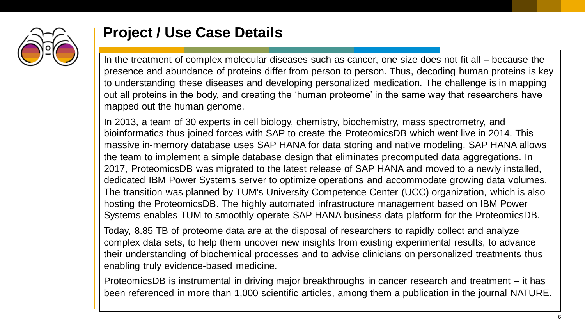

### **Project / Use Case Details**

In the treatment of complex molecular diseases such as cancer, one size does not fit all – because the presence and abundance of proteins differ from person to person. Thus, decoding human proteins is key to understanding these diseases and developing personalized medication. The challenge is in mapping out all proteins in the body, and creating the 'human proteome' in the same way that researchers have mapped out the human genome.

In 2013, a team of 30 experts in cell biology, chemistry, biochemistry, mass spectrometry, and bioinformatics thus joined forces with SAP to create the ProteomicsDB which went live in 2014. This massive in-memory database uses SAP HANA for data storing and native modeling. SAP HANA allows the team to implement a simple database design that eliminates precomputed data aggregations. In 2017, ProteomicsDB was migrated to the latest release of SAP HANA and moved to a newly installed, dedicated IBM Power Systems server to optimize operations and accommodate growing data volumes. The transition was planned by TUM's University Competence Center (UCC) organization, which is also hosting the ProteomicsDB. The highly automated infrastructure management based on IBM Power Systems enables TUM to smoothly operate SAP HANA business data platform for the ProteomicsDB.

Today, 8.85 TB of proteome data are at the disposal of researchers to rapidly collect and analyze complex data sets, to help them uncover new insights from existing experimental results, to advance their understanding of biochemical processes and to advise clinicians on personalized treatments thus enabling truly evidence-based medicine.

ProteomicsDB is instrumental in driving major breakthroughs in cancer research and treatment – it has been referenced in more than 1,000 scientific articles, among them a publication in the journal NATURE.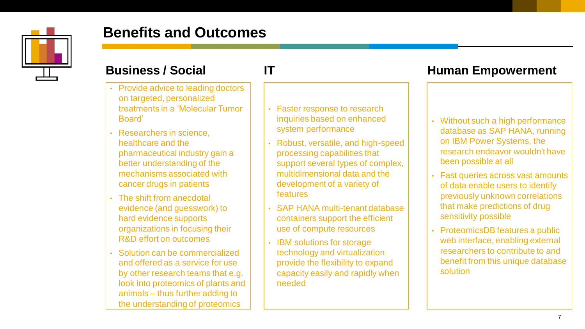

## **Benefits and Outcomes**



- Provide advice to leading doctors on targeted, personalized treatments in a 'Molecular Tumor Board'
- Researchers in science, healthcare and the pharmaceutical industry gain a better understanding of the mechanisms associated with cancer drugs in patients
- The shift from anecdotal evidence (and guesswork) to hard evidence supports organizations in focusing their R&D effort on outcomes
- Solution can be commercialized and offered as a service for use by other research teams that e.g. look into proteomics of plants and animals – thus further adding to the understanding of proteomics

- Faster response to research inquiries based on enhanced system performance
- Robust, versatile, and high-speed processing capabilities that support several types of complex, multidimensional data and the development of a variety of features
- SAP HANA multi-tenant database containers support the efficient use of compute resources
- IBM solutions for storage technology and virtualization provide the flexibility to expand capacity easily and rapidly when needed

#### **Business / Social 17 IT Human Empowerment**

- Without such a high performance database as SAP HANA, running on IBM Power Systems, the research endeavor wouldn't have been possible at all
- Fast queries across vast amounts of data enable users to identify previously unknown correlations that make predictions of drug sensitivity possible
- ProteomicsDB features a public web interface, enabling external researchers to contribute to and benefit from this unique database solution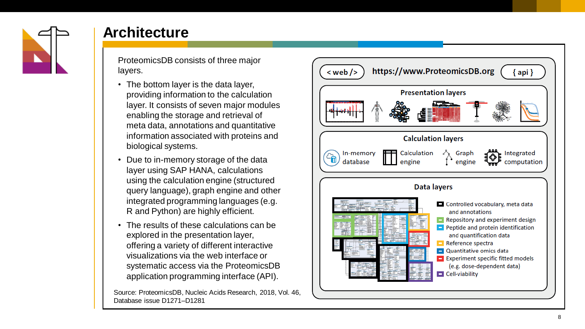

#### **Architecture**

ProteomicsDB consists of three major layers.

- The bottom layer is the data layer, providing information to the calculation layer. It consists of seven major modules enabling the storage and retrieval of meta data, annotations and quantitative information associated with proteins and biological systems.
- Due to in -memory storage of the data layer using SAP HANA, calculations using the calculation engine (structured query language), graph engine and other integrated programming languages (e.g. R and Python) are highly efficient.
- The results of these calculations can be explored in the presentation layer, offering a variety of different interactive visualizations via the web interface or systematic access via the ProteomicsDB application programming interface (API).

Source: ProteomicsDB, Nucleic Acids Research, 2018, Vol. 46, Database issue D1271 –D1281

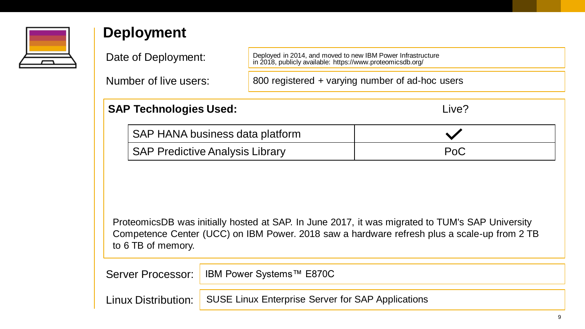

### **Deployment**

Date of Deployment:

Number of live users:

Deployed in 2014, and moved to new IBM Power Infrastructure in 2018, publicly available: https://www.proteomicsdb.org/

800 registered + varying number of ad-hoc users

| <b>SAP Technologies Used:</b>          | Live? |
|----------------------------------------|-------|
| SAP HANA business data platform        |       |
| <b>SAP Predictive Analysis Library</b> | PoC   |

ProteomicsDB was initially hosted at SAP. In June 2017, it was migrated to TUM's SAP University Competence Center (UCC) on IBM Power. 2018 saw a hardware refresh plus a scale-up from 2 TB to 6 TB of memory.

| Server Processor:   IBM Power Systems™ E870C                            |
|-------------------------------------------------------------------------|
| Linux Distribution:   SUSE Linux Enterprise Server for SAP Applications |